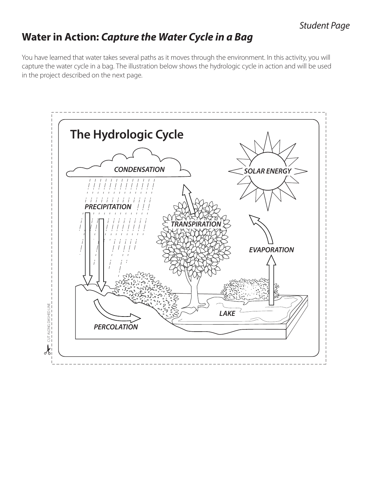### *Student Page*

# **Water in Action:** *Capture the Water Cycle in a Bag*

You have learned that water takes several paths as it moves through the environment. In this activity, you will capture the water cycle in a bag. The illustration below shows the hydrologic cycle in action and will be used in the project described on the next page.